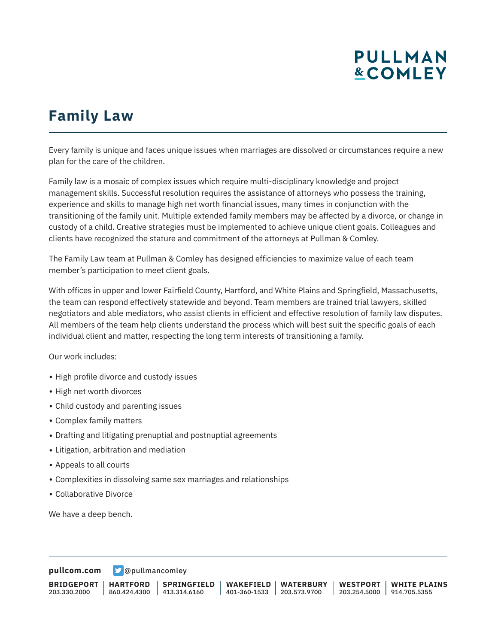# **PULLMAN &COMLEY**

## **Family Law**

Every family is unique and faces unique issues when marriages are dissolved or circumstances require a new plan for the care of the children.

Family law is a mosaic of complex issues which require multi-disciplinary knowledge and project management skills. Successful resolution requires the assistance of attorneys who possess the training, experience and skills to manage high net worth financial issues, many times in conjunction with the transitioning of the family unit. Multiple extended family members may be affected by a divorce, or change in custody of a child. Creative strategies must be implemented to achieve unique client goals. Colleagues and clients have recognized the stature and commitment of the attorneys at Pullman & Comley.

The Family Law team at Pullman & Comley has designed efficiencies to maximize value of each team member's participation to meet client goals.

With offices in upper and lower Fairfield County, Hartford, and White Plains and Springfield, Massachusetts, the team can respond effectively statewide and beyond. Team members are trained trial lawyers, skilled negotiators and able mediators, who assist clients in efficient and effective resolution of family law disputes. All members of the team help clients understand the process which will best suit the specific goals of each individual client and matter, respecting the long term interests of transitioning a family.

Our work includes:

- High profile divorce and custody issues
- High net worth divorces
- Child custody and parenting issues
- Complex family matters
- Drafting and litigating prenuptial and postnuptial agreements
- Litigation, arbitration and mediation
- Appeals to all courts
- Complexities in dissolving same sex marriages and relationships
- Collaborative Divorce

We have a deep bench.

**[pullcom.com](https://www.pullcom.com) g** [@pullmancomley](https://twitter.com/PullmanComley)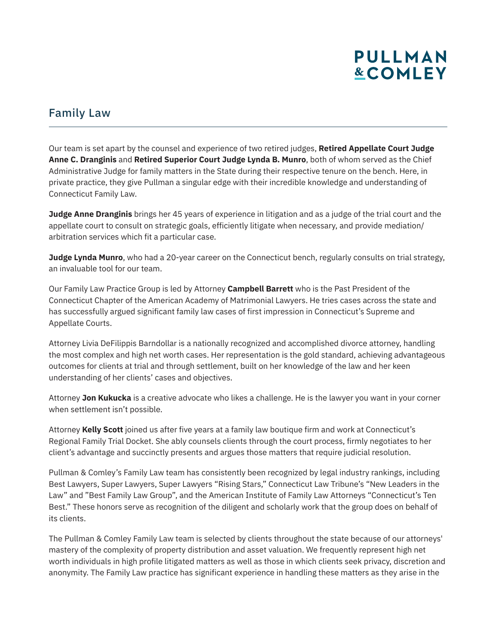# **PULLMAN &COMLEY**

#### Family Law

Our team is set apart by the counsel and experience of two retired judges, **Retired Appellate Court Judge Anne C. Dranginis** and **Retired Superior Court Judge Lynda B. Munro**, both of whom served as the Chief Administrative Judge for family matters in the State during their respective tenure on the bench. Here, in private practice, they give Pullman a singular edge with their incredible knowledge and understanding of Connecticut Family Law.

**Judge Anne Dranginis** brings her 45 years of experience in litigation and as a judge of the trial court and the appellate court to consult on strategic goals, efficiently litigate when necessary, and provide mediation/ arbitration services which fit a particular case.

**Judge Lynda Munro**, who had a 20-year career on the Connecticut bench, regularly consults on trial strategy, an invaluable tool for our team.

Our Family Law Practice Group is led by Attorney **Campbell Barrett** who is the Past President of the Connecticut Chapter of the American Academy of Matrimonial Lawyers. He tries cases across the state and has successfully argued significant family law cases of first impression in Connecticut's Supreme and Appellate Courts.

Attorney Livia DeFilippis Barndollar is a nationally recognized and accomplished divorce attorney, handling the most complex and high net worth cases. Her representation is the gold standard, achieving advantageous outcomes for clients at trial and through settlement, built on her knowledge of the law and her keen understanding of her clients' cases and objectives.

Attorney **Jon Kukucka** is a creative advocate who likes a challenge. He is the lawyer you want in your corner when settlement isn't possible.

Attorney **Kelly Scott** joined us after five years at a family law boutique firm and work at Connecticut's Regional Family Trial Docket. She ably counsels clients through the court process, firmly negotiates to her client's advantage and succinctly presents and argues those matters that require judicial resolution.

Pullman & Comley's Family Law team has consistently been recognized by legal industry rankings, including Best Lawyers, Super Lawyers, Super Lawyers "Rising Stars," Connecticut Law Tribune's "New Leaders in the Law" and "Best Family Law Group", and the American Institute of Family Law Attorneys "Connecticut's Ten Best." These honors serve as recognition of the diligent and scholarly work that the group does on behalf of its clients.

The Pullman & Comley Family Law team is selected by clients throughout the state because of our attorneys' mastery of the complexity of property distribution and asset valuation. We frequently represent high net worth individuals in high profile litigated matters as well as those in which clients seek privacy, discretion and anonymity. The Family Law practice has significant experience in handling these matters as they arise in the